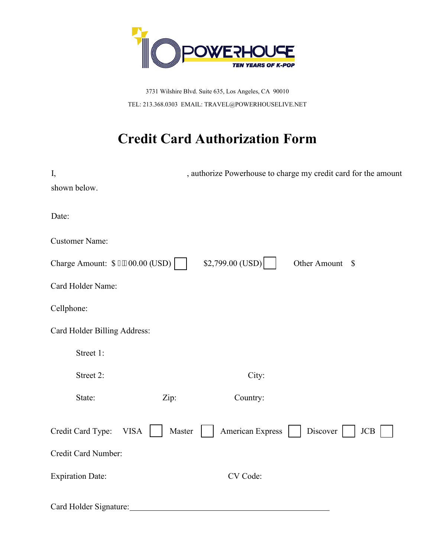

3731 Wilshire Blvd. Suite 635, Los Angeles, CA 90010 TEL: 213.368.0303 EMAIL: TRAVEL@POWERHOUSELIVE.NET

## **Credit Card Authorization Form**

| I,<br>shown below.               | , authorize Powerhouse to charge my credit card for the amount |
|----------------------------------|----------------------------------------------------------------|
|                                  |                                                                |
| Date:                            |                                                                |
| <b>Customer Name:</b>            |                                                                |
| Charge Amount: \$3.200.00 (USD)  | $$2,799.00$ (USD)<br>Other Amount \$                           |
| Card Holder Name:                |                                                                |
| Cellphone:                       |                                                                |
| Card Holder Billing Address:     |                                                                |
| Street 1:                        |                                                                |
| Street 2:                        | City:                                                          |
| State:<br>Zip:                   | Country:                                                       |
| Credit Card Type:<br><b>VISA</b> | American Express<br>Master<br>Discover<br>JCB                  |
| Credit Card Number:              |                                                                |
| <b>Expiration Date:</b>          | CV Code:                                                       |
| Card Holder Signature:           |                                                                |